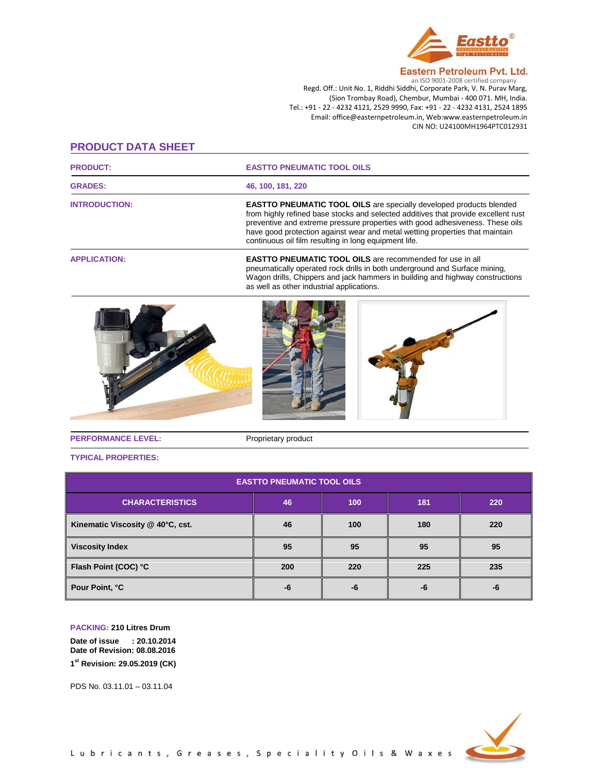

Eastern Petroleum Pvt. Ltd. an ISO 9001-2008 certified company Regd. Off.: Unit No. 1, Riddhi Siddhi, Corporate Park, V. N. Purav Marg, (Sion Trombay Road), Chembur, Mumbai - 400 071. MH, India. Tel.: +91 - 22 - 4232 4121, 2529 9990, Fax: +91 - 22 - 4232 4131, 2524 1895 Email: office@easternpetroleum.in, Web:www.easternpetroleum.in CIN NO: U24100MH1964PTC012931

## **PRODUCT DATA SHEET**

| <b>PRODUCT:</b>      | <b>EASTTO PNEUMATIC TOOL OILS</b>                                                                                                                                                                                                                                                                                                                                                          |  |  |  |
|----------------------|--------------------------------------------------------------------------------------------------------------------------------------------------------------------------------------------------------------------------------------------------------------------------------------------------------------------------------------------------------------------------------------------|--|--|--|
| <b>GRADES:</b>       | 46, 100, 181, 220                                                                                                                                                                                                                                                                                                                                                                          |  |  |  |
| <b>INTRODUCTION:</b> | <b>EASTTO PNEUMATIC TOOL OILS</b> are specially developed products blended<br>from highly refined base stocks and selected additives that provide excellent rust<br>preventive and extreme pressure properties with good adhesiveness. These oils<br>have good protection against wear and metal wetting properties that maintain<br>continuous oil film resulting in long equipment life. |  |  |  |
| <b>APPLICATION:</b>  | <b>EASTTO PNEUMATIC TOOL OILS</b> are recommended for use in all<br>pneumatically operated rock drills in both underground and Surface mining,<br>Wagon drills, Chippers and jack hammers in building and highway constructions<br>as well as other industrial applications.                                                                                                               |  |  |  |
|                      |                                                                                                                                                                                                                                                                                                                                                                                            |  |  |  |

PERFORMANCE LEVEL: Proprietary product

**TYPICAL PROPERTIES:**

| <b>EASTTO PNEUMATIC TOOL OILS</b> |     |     |     |     |  |
|-----------------------------------|-----|-----|-----|-----|--|
| <b>CHARACTERISTICS</b>            | 46  | 100 | 181 | 220 |  |
| Kinematic Viscosity @ 40°C, cst.  | 46  | 100 | 180 | 220 |  |
| <b>Viscosity Index</b>            | 95  | 95  | 95  | 95  |  |
| Flash Point (COC) °C              | 200 | 220 | 225 | 235 |  |
| Pour Point, °C                    | -6  | -6  | -6  | -6  |  |

**PACKING: 210 Litres Drum**

**Date of issue : 20.10.2014 Date of Revision: 08.08.2016 1 st Revision: 29.05.2019 (CK)**

PDS No. 03.11.01 – 03.11.04